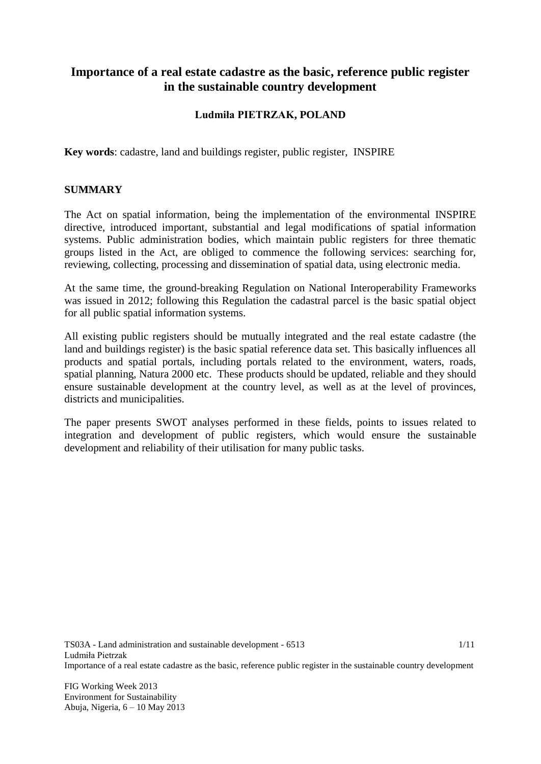# **Importance of a real estate cadastre as the basic, reference public register in the sustainable country development**

# **Ludmiła PIETRZAK, POLAND**

**Key words**: cadastre, land and buildings register, public register, INSPIRE

## **SUMMARY**

The Act on spatial information, being the implementation of the environmental INSPIRE directive, introduced important, substantial and legal modifications of spatial information systems. Public administration bodies, which maintain public registers for three thematic groups listed in the Act, are obliged to commence the following services: searching for, reviewing, collecting, processing and dissemination of spatial data, using electronic media.

At the same time, the ground-breaking Regulation on National Interoperability Frameworks was issued in 2012; following this Regulation the cadastral parcel is the basic spatial object for all public spatial information systems.

All existing public registers should be mutually integrated and the real estate cadastre (the land and buildings register) is the basic spatial reference data set. This basically influences all products and spatial portals, including portals related to the environment, waters, roads, spatial planning, Natura 2000 etc. These products should be updated, reliable and they should ensure sustainable development at the country level, as well as at the level of provinces, districts and municipalities.

The paper presents SWOT analyses performed in these fields, points to issues related to integration and development of public registers, which would ensure the sustainable development and reliability of their utilisation for many public tasks.

TS03A - Land administration and sustainable development - 6513 Ludmiła Pietrzak Importance of a real estate cadastre as the basic, reference public register in the sustainable country development 1/11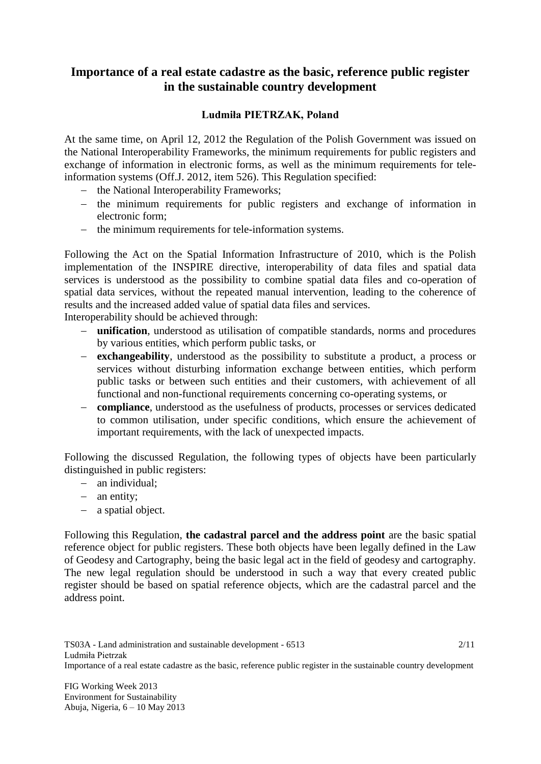# **Importance of a real estate cadastre as the basic, reference public register in the sustainable country development**

## **Ludmiła PIETRZAK, Poland**

At the same time, on April 12, 2012 the Regulation of the Polish Government was issued on the National Interoperability Frameworks, the minimum requirements for public registers and exchange of information in electronic forms, as well as the minimum requirements for teleinformation systems (Off.J. 2012, item 526). This Regulation specified:

- the National Interoperability Frameworks;
- the minimum requirements for public registers and exchange of information in electronic form;
- the minimum requirements for tele-information systems.

Following the Act on the Spatial Information Infrastructure of 2010, which is the Polish implementation of the INSPIRE directive, interoperability of data files and spatial data services is understood as the possibility to combine spatial data files and co-operation of spatial data services, without the repeated manual intervention, leading to the coherence of results and the increased added value of spatial data files and services.

Interoperability should be achieved through:

- **unification**, understood as utilisation of compatible standards, norms and procedures by various entities, which perform public tasks, or
- **exchangeability**, understood as the possibility to substitute a product, a process or services without disturbing information exchange between entities, which perform public tasks or between such entities and their customers, with achievement of all functional and non-functional requirements concerning co-operating systems, or
- **compliance**, understood as the usefulness of products, processes or services dedicated to common utilisation, under specific conditions, which ensure the achievement of important requirements, with the lack of unexpected impacts.

Following the discussed Regulation, the following types of objects have been particularly distinguished in public registers:

- an individual:
- an entity;
- a spatial object.

Following this Regulation, **the cadastral parcel and the address point** are the basic spatial reference object for public registers. These both objects have been legally defined in the Law of Geodesy and Cartography, being the basic legal act in the field of geodesy and cartography. The new legal regulation should be understood in such a way that every created public register should be based on spatial reference objects, which are the cadastral parcel and the address point.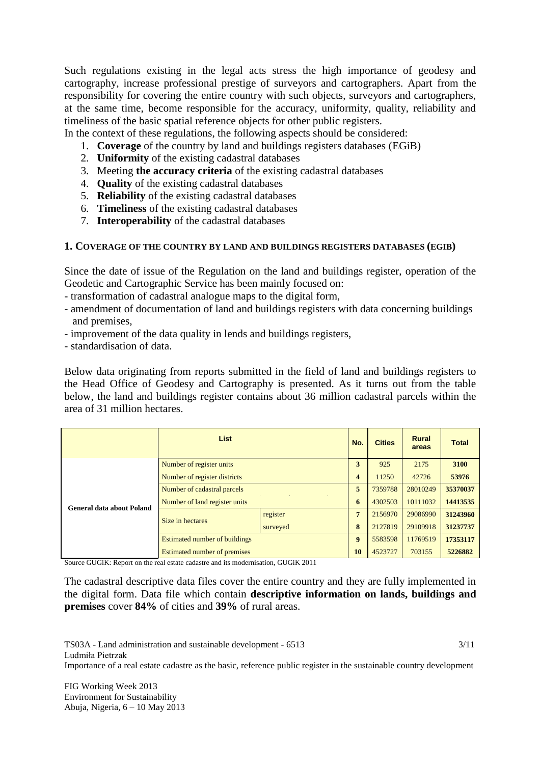Such regulations existing in the legal acts stress the high importance of geodesy and cartography, increase professional prestige of surveyors and cartographers. Apart from the responsibility for covering the entire country with such objects, surveyors and cartographers, at the same time, become responsible for the accuracy, uniformity, quality, reliability and timeliness of the basic spatial reference objects for other public registers.

In the context of these regulations, the following aspects should be considered:

- 1. **Coverage** of the country by land and buildings registers databases (EGiB)
- 2. **Uniformity** of the existing cadastral databases
- 3. Meeting **the accuracy criteria** of the existing cadastral databases
- 4. **Quality** of the existing cadastral databases
- 5. **Reliability** of the existing cadastral databases
- 6. **Timeliness** of the existing cadastral databases
- 7. **Interoperability** of the cadastral databases

#### **1. COVERAGE OF THE COUNTRY BY LAND AND BUILDINGS REGISTERS DATABASES (EGIB)**

Since the date of issue of the Regulation on the land and buildings register, operation of the Geodetic and Cartographic Service has been mainly focused on:

- transformation of cadastral analogue maps to the digital form,
- amendment of documentation of land and buildings registers with data concerning buildings and premises,
- improvement of the data quality in lends and buildings registers,
- standardisation of data.

Below data originating from reports submitted in the field of land and buildings registers to the Head Office of Geodesy and Cartography is presented. As it turns out from the table below, the land and buildings register contains about 36 million cadastral parcels within the area of 31 million hectares.

|                           | <b>List</b>                          |          | No.              | <b>Cities</b> | Rural<br>areas | <b>Total</b> |
|---------------------------|--------------------------------------|----------|------------------|---------------|----------------|--------------|
| General data about Poland | Number of register units             |          | 3                | 925           | 2175           | 3100         |
|                           | Number of register districts         |          | 4                | 11250         | 42726          | 53976        |
|                           | Number of cadastral parcels          |          | 5                | 7359788       | 28010249       | 35370037     |
|                           | Number of land register units        |          | 6                | 4302503       | 10111032       | 14413535     |
|                           | Size in hectares                     | register | 7                | 2156970       | 29086990       | 31243960     |
|                           |                                      | surveyed | 8                | 2127819       | 29109918       | 31237737     |
|                           | <b>Estimated number of buildings</b> |          | $\boldsymbol{9}$ | 5583598       | 11769519       | 17353117     |
|                           | <b>Estimated number of premises</b>  |          | 10               | 4523727       | 703155         | 5226882      |

Source GUGiK: Report on the real estate cadastre and its modernisation, GUGiK 2011

The cadastral descriptive data files cover the entire country and they are fully implemented in the digital form. Data file which contain **descriptive information on lands, buildings and premises** cover **84%** of cities and **39%** of rural areas.

TS03A - Land administration and sustainable development - 6513 Ludmiła Pietrzak Importance of a real estate cadastre as the basic, reference public register in the sustainable country development 3/11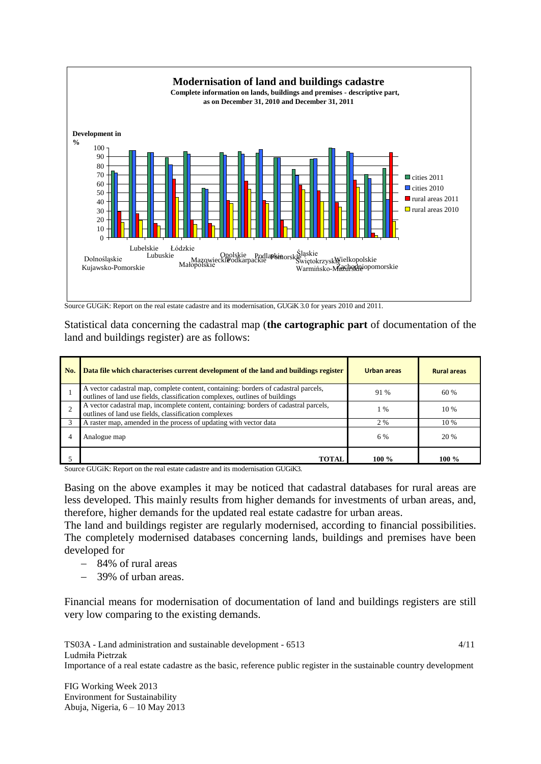

Source GUGiK: Report on the real estate cadastre and its modernisation, GUGiK 3.0 for years 2010 and 2011.

Statistical data concerning the cadastral map (**the cartographic part** of documentation of the land and buildings register) are as follows:

| No. | Data file which characterises current development of the land and buildings register                                                                                | Urban areas | <b>Rural areas</b> |
|-----|---------------------------------------------------------------------------------------------------------------------------------------------------------------------|-------------|--------------------|
|     | A vector cadastral map, complete content, containing: borders of cadastral parcels,<br>outlines of land use fields, classification complexes, outlines of buildings | 91 %        | 60 %               |
| 2   | A vector cadastral map, incomplete content, containing: borders of cadastral parcels,<br>outlines of land use fields, classification complexes                      | 1 %         | 10 %               |
|     | A raster map, amended in the process of updating with vector data                                                                                                   | 2 %         | 10 %               |
|     | Analogue map                                                                                                                                                        | 6 %         | 20 %               |
|     | <b>TOTAL</b>                                                                                                                                                        | 100 $\%$    | 100 $\%$           |

Source GUGiK: Report on the real estate cadastre and its modernisation GUGiK3.

Basing on the above examples it may be noticed that cadastral databases for rural areas are less developed. This mainly results from higher demands for investments of urban areas, and, therefore, higher demands for the updated real estate cadastre for urban areas.

The land and buildings register are regularly modernised, according to financial possibilities. The completely modernised databases concerning lands, buildings and premises have been developed for

- 84% of rural areas
- 39% of urban areas.

Financial means for modernisation of documentation of land and buildings registers are still very low comparing to the existing demands.

TS03A - Land administration and sustainable development - 6513 Ludmiła Pietrzak Importance of a real estate cadastre as the basic, reference public register in the sustainable country development 4/11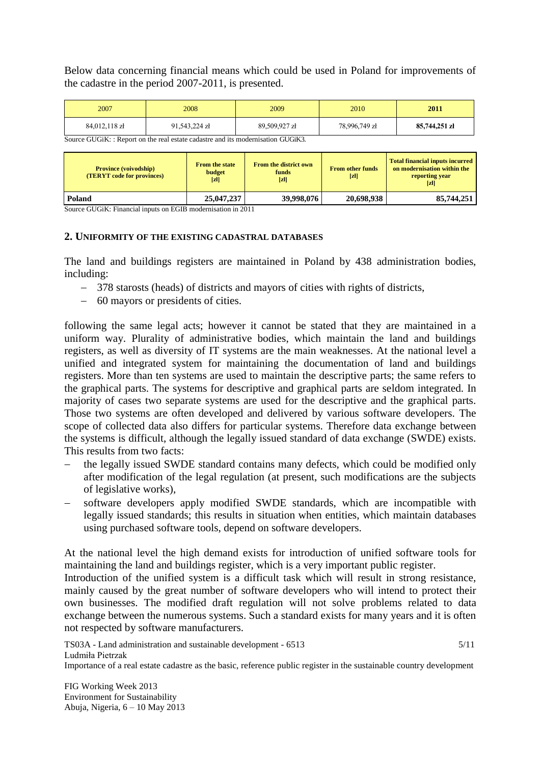Below data concerning financial means which could be used in Poland for improvements of the cadastre in the period 2007-2011, is presented.

| 2007                                                                                                                                   | 2008          | 2009          | 2010          | 2011          |
|----------------------------------------------------------------------------------------------------------------------------------------|---------------|---------------|---------------|---------------|
| 84,012,118 zł                                                                                                                          | 91,543,224 zł | 89.509.927 zł | 78,996,749 zł | 85,744,251 zł |
| $\mathcal{C}_{\text{oumon}}$ $C\text{L}C\text{L}$ is a properties the real extern endeatry and its modernization $C\text{L}C\text{L}V$ |               |               |               |               |

 $GUGiK:$  Report on the real estate cadastre and its modernisation  $GUGi$ 

| <b>Province (voivodship)</b><br><b>(TERYT code for provinces)</b> | <b>From the state</b><br>budget<br>$\left[\mathbf{z}\right]$ | <b>From the district own</b><br>funds<br>$\left[\mathbf{z}\right]$ | <b>From other funds</b><br>$[\mathbf{z}]$ | <b>Total financial inputs incurred</b><br>on modernisation within the<br>reporting year<br>$\left[ z\right]$ |
|-------------------------------------------------------------------|--------------------------------------------------------------|--------------------------------------------------------------------|-------------------------------------------|--------------------------------------------------------------------------------------------------------------|
| Poland                                                            | 25,047,237                                                   | 39,998,076                                                         | 20,698,938                                | 85,744,251                                                                                                   |

Source GUGiK: Financial inputs on EGIB modernisation in 2011

#### **2. UNIFORMITY OF THE EXISTING CADASTRAL DATABASES**

The land and buildings registers are maintained in Poland by 438 administration bodies, including:

- 378 starosts (heads) of districts and mayors of cities with rights of districts,
- 60 mayors or presidents of cities.

following the same legal acts; however it cannot be stated that they are maintained in a uniform way. Plurality of administrative bodies, which maintain the land and buildings registers, as well as diversity of IT systems are the main weaknesses. At the national level a unified and integrated system for maintaining the documentation of land and buildings registers. More than ten systems are used to maintain the descriptive parts; the same refers to the graphical parts. The systems for descriptive and graphical parts are seldom integrated. In majority of cases two separate systems are used for the descriptive and the graphical parts. Those two systems are often developed and delivered by various software developers. The scope of collected data also differs for particular systems. Therefore data exchange between the systems is difficult, although the legally issued standard of data exchange (SWDE) exists. This results from two facts:

- the legally issued SWDE standard contains many defects, which could be modified only after modification of the legal regulation (at present, such modifications are the subjects of legislative works),
- software developers apply modified SWDE standards, which are incompatible with legally issued standards; this results in situation when entities, which maintain databases using purchased software tools, depend on software developers.

At the national level the high demand exists for introduction of unified software tools for maintaining the land and buildings register, which is a very important public register.

Introduction of the unified system is a difficult task which will result in strong resistance, mainly caused by the great number of software developers who will intend to protect their own businesses. The modified draft regulation will not solve problems related to data exchange between the numerous systems. Such a standard exists for many years and it is often not respected by software manufacturers.

TS03A - Land administration and sustainable development - 6513 Ludmiła Pietrzak Importance of a real estate cadastre as the basic, reference public register in the sustainable country development 5/11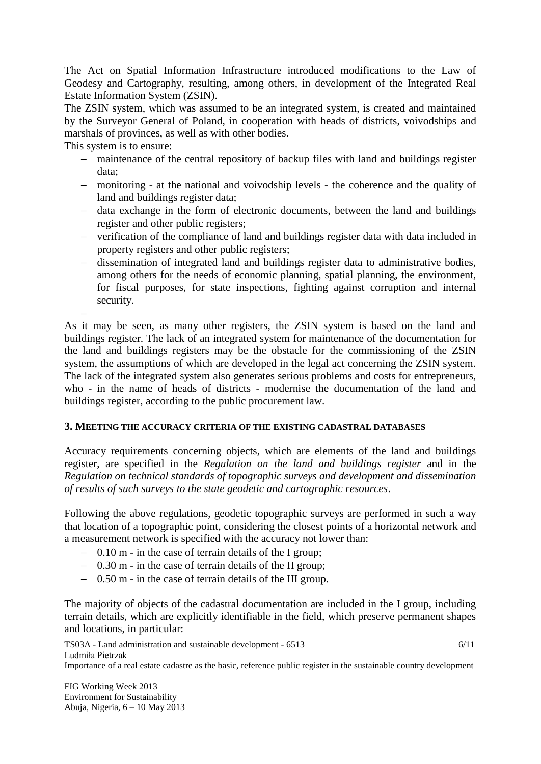The Act on Spatial Information Infrastructure introduced modifications to the Law of Geodesy and Cartography, resulting, among others, in development of the Integrated Real Estate Information System (ZSIN).

The ZSIN system, which was assumed to be an integrated system, is created and maintained by the Surveyor General of Poland, in cooperation with heads of districts, voivodships and marshals of provinces, as well as with other bodies.

This system is to ensure:

- maintenance of the central repository of backup files with land and buildings register data;
- monitoring at the national and voivodship levels the coherence and the quality of land and buildings register data;
- data exchange in the form of electronic documents, between the land and buildings register and other public registers;
- verification of the compliance of land and buildings register data with data included in property registers and other public registers;
- dissemination of integrated land and buildings register data to administrative bodies, among others for the needs of economic planning, spatial planning, the environment, for fiscal purposes, for state inspections, fighting against corruption and internal security.

 $\overline{a}$ As it may be seen, as many other registers, the ZSIN system is based on the land and buildings register. The lack of an integrated system for maintenance of the documentation for the land and buildings registers may be the obstacle for the commissioning of the ZSIN system, the assumptions of which are developed in the legal act concerning the ZSIN system. The lack of the integrated system also generates serious problems and costs for entrepreneurs, who - in the name of heads of districts - modernise the documentation of the land and buildings register, according to the public procurement law.

### **3. MEETING THE ACCURACY CRITERIA OF THE EXISTING CADASTRAL DATABASES**

Accuracy requirements concerning objects, which are elements of the land and buildings register, are specified in the *Regulation on the land and buildings register* and in the *Regulation on technical standards of topographic surveys and development and dissemination of results of such surveys to the state geodetic and cartographic resources*.

Following the above regulations, geodetic topographic surveys are performed in such a way that location of a topographic point, considering the closest points of a horizontal network and a measurement network is specified with the accuracy not lower than:

- 0.10 m in the case of terrain details of the I group;
- 0.30 m in the case of terrain details of the II group;
- 0.50 m in the case of terrain details of the III group.

The majority of objects of the cadastral documentation are included in the I group, including terrain details, which are explicitly identifiable in the field, which preserve permanent shapes and locations, in particular:

TS03A - Land administration and sustainable development - 6513 Ludmiła Pietrzak Importance of a real estate cadastre as the basic, reference public register in the sustainable country development 6/11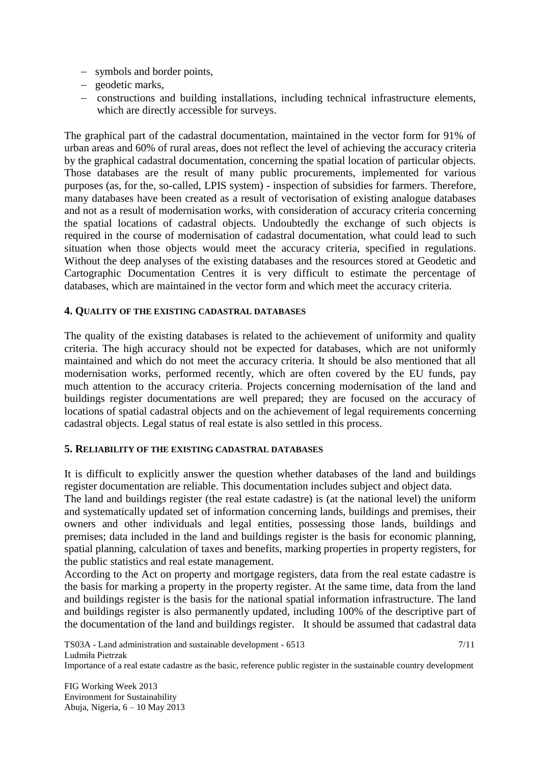- symbols and border points,
- geodetic marks,
- constructions and building installations, including technical infrastructure elements, which are directly accessible for surveys.

The graphical part of the cadastral documentation, maintained in the vector form for 91% of urban areas and 60% of rural areas, does not reflect the level of achieving the accuracy criteria by the graphical cadastral documentation, concerning the spatial location of particular objects. Those databases are the result of many public procurements, implemented for various purposes (as, for the, so-called, LPIS system) - inspection of subsidies for farmers. Therefore, many databases have been created as a result of vectorisation of existing analogue databases and not as a result of modernisation works, with consideration of accuracy criteria concerning the spatial locations of cadastral objects. Undoubtedly the exchange of such objects is required in the course of modernisation of cadastral documentation, what could lead to such situation when those objects would meet the accuracy criteria, specified in regulations. Without the deep analyses of the existing databases and the resources stored at Geodetic and Cartographic Documentation Centres it is very difficult to estimate the percentage of databases, which are maintained in the vector form and which meet the accuracy criteria.

### **4. QUALITY OF THE EXISTING CADASTRAL DATABASES**

The quality of the existing databases is related to the achievement of uniformity and quality criteria. The high accuracy should not be expected for databases, which are not uniformly maintained and which do not meet the accuracy criteria. It should be also mentioned that all modernisation works, performed recently, which are often covered by the EU funds, pay much attention to the accuracy criteria. Projects concerning modernisation of the land and buildings register documentations are well prepared; they are focused on the accuracy of locations of spatial cadastral objects and on the achievement of legal requirements concerning cadastral objects. Legal status of real estate is also settled in this process.

#### **5. RELIABILITY OF THE EXISTING CADASTRAL DATABASES**

It is difficult to explicitly answer the question whether databases of the land and buildings register documentation are reliable. This documentation includes subject and object data.

The land and buildings register (the real estate cadastre) is (at the national level) the uniform and systematically updated set of information concerning lands, buildings and premises, their owners and other individuals and legal entities, possessing those lands, buildings and premises; data included in the land and buildings register is the basis for economic planning, spatial planning, calculation of taxes and benefits, marking properties in property registers, for the public statistics and real estate management.

According to the Act on property and mortgage registers, data from the real estate cadastre is the basis for marking a property in the property register. At the same time, data from the land and buildings register is the basis for the national spatial information infrastructure. The land and buildings register is also permanently updated, including 100% of the descriptive part of the documentation of the land and buildings register. It should be assumed that cadastral data

TS03A - Land administration and sustainable development - 6513 Ludmiła Pietrzak Importance of a real estate cadastre as the basic, reference public register in the sustainable country development 7/11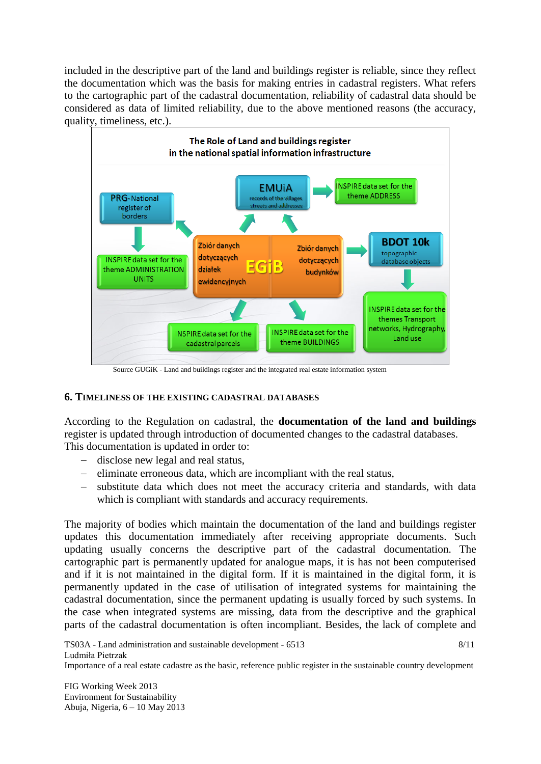included in the descriptive part of the land and buildings register is reliable, since they reflect the documentation which was the basis for making entries in cadastral registers. What refers to the cartographic part of the cadastral documentation, reliability of cadastral data should be considered as data of limited reliability, due to the above mentioned reasons (the accuracy, quality, timeliness, etc.).



#### Source GUGiK - Land and buildings register and the integrated real estate information system

#### **6. TIMELINESS OF THE EXISTING CADASTRAL DATABASES**

According to the Regulation on cadastral, the **documentation of the land and buildings**  register is updated through introduction of documented changes to the cadastral databases. This documentation is updated in order to:

- disclose new legal and real status,
- $\hbox{=}\quad$  eliminate erroneous data, which are incompliant with the real status,
- substitute data which does not meet the accuracy criteria and standards, with data which is compliant with standards and accuracy requirements.

The majority of bodies which maintain the documentation of the land and buildings register updates this documentation immediately after receiving appropriate documents. Such updating usually concerns the descriptive part of the cadastral documentation. The cartographic part is permanently updated for analogue maps, it is has not been computerised and if it is not maintained in the digital form. If it is maintained in the digital form, it is permanently updated in the case of utilisation of integrated systems for maintaining the cadastral documentation, since the permanent updating is usually forced by such systems. In the case when integrated systems are missing, data from the descriptive and the graphical parts of the cadastral documentation is often incompliant. Besides, the lack of complete and

TS03A - Land administration and sustainable development - 6513 Ludmiła Pietrzak Importance of a real estate cadastre as the basic, reference public register in the sustainable country development 8/11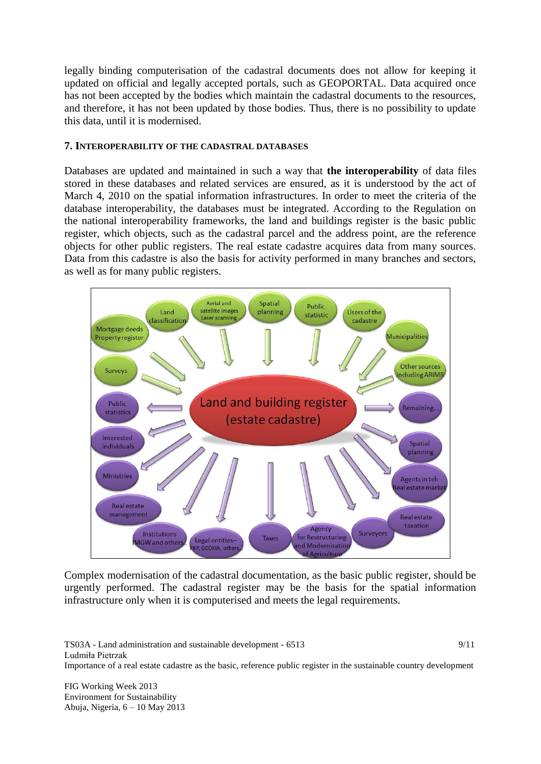legally binding computerisation of the cadastral documents does not allow for keeping it updated on official and legally accepted portals, such as GEOPORTAL. Data acquired once has not been accepted by the bodies which maintain the cadastral documents to the resources, and therefore, it has not been updated by those bodies. Thus, there is no possibility to update this data, until it is modernised.

#### **7. INTEROPERABILITY OF THE CADASTRAL DATABASES**

Databases are updated and maintained in such a way that **the interoperability** of data files stored in these databases and related services are ensured, as it is understood by the act of March 4, 2010 on the spatial information infrastructures. In order to meet the criteria of the database interoperability, the databases must be integrated. According to the Regulation on the national interoperability frameworks, the land and buildings register is the basic public register, which objects, such as the cadastral parcel and the address point, are the reference objects for other public registers. The real estate cadastre acquires data from many sources. Data from this cadastre is also the basis for activity performed in many branches and sectors, as well as for many public registers.



Complex modernisation of the cadastral documentation, as the basic public register, should be urgently performed. The cadastral register may be the basis for the spatial information infrastructure only when it is computerised and meets the legal requirements.

TS03A - Land administration and sustainable development - 6513 Ludmiła Pietrzak Importance of a real estate cadastre as the basic, reference public register in the sustainable country development 9/11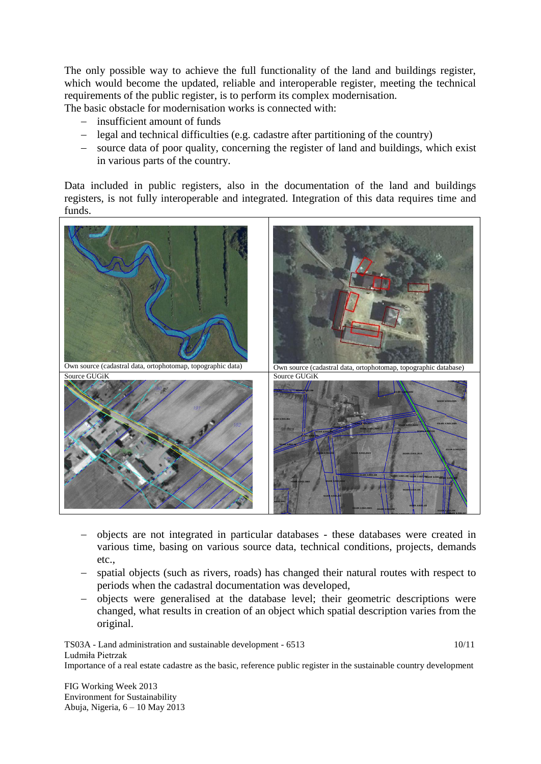The only possible way to achieve the full functionality of the land and buildings register, which would become the updated, reliable and interoperable register, meeting the technical requirements of the public register, is to perform its complex modernisation. The basic obstacle for modernisation works is connected with:

- insufficient amount of funds
- legal and technical difficulties (e.g. cadastre after partitioning of the country)
- source data of poor quality, concerning the register of land and buildings, which exist in various parts of the country.

Data included in public registers, also in the documentation of the land and buildings registers, is not fully interoperable and integrated. Integration of this data requires time and funds.



- objects are not integrated in particular databases these databases were created in various time, basing on various source data, technical conditions, projects, demands etc.,
- spatial objects (such as rivers, roads) has changed their natural routes with respect to periods when the cadastral documentation was developed,
- objects were generalised at the database level; their geometric descriptions were changed, what results in creation of an object which spatial description varies from the original.

TS03A - Land administration and sustainable development - 6513 Ludmiła Pietrzak Importance of a real estate cadastre as the basic, reference public register in the sustainable country development 10/11